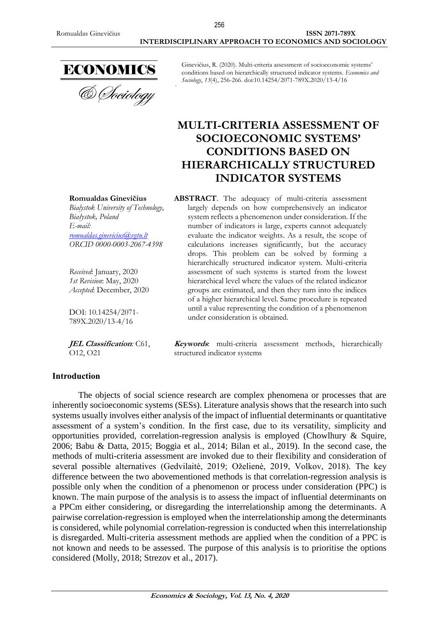

**& Sociology** 

Ginevičius, R. (2020). Multi-criteria assessment of socioeconomic systems' conditions based on hierarchically structured indicator systems. *Economics and Sociology*, *13*(4), 256-266. doi:10.14254/2071-789X.2020/13-4/16

# **MULTI-CRITERIA ASSESSMENT OF SOCIOECONOMIC SYSTEMS' CONDITIONS BASED ON HIERARCHICALLY STRUCTURED INDICATOR SYSTEMS**

#### **Romualdas Ginevičius**

*Bialystok University of Technology, Białystok, Poland E-mail: [romualdas.ginevicius@vgtu.lt](mailto:romualdas.ginevicius@vgtu.lt) ORCID 0000-0003-2067-4398*

*Received*: January, 2020 *1st Revision*: May, 2020 *Accepted*: December, 2020

DOI: 10.14254/2071- 789X.2020/13-4/16

**JEL Classification***:* C61, O12, O21

**ABSTRACT**. The adequacy of multi-criteria assessment largely depends on how comprehensively an indicator system reflects a phenomenon under consideration. If the number of indicators is large, experts cannot adequately evaluate the indicator weights. As a result, the scope of calculations increases significantly, but the accuracy drops. This problem can be solved by forming a hierarchically structured indicator system. Multi-criteria assessment of such systems is started from the lowest hierarchical level where the values of the related indicator groups are estimated, and then they turn into the indices of a higher hierarchical level. Same procedure is repeated until a value representing the condition of a phenomenon under consideration is obtained.

**Keywords**: multi-criteria assessment methods, hierarchically structured indicator systems

### **Introduction**

The objects of social science research are complex phenomena or processes that are inherently socioeconomic systems (SESs). Literature analysis shows that the research into such systems usually involves either analysis of the impact of influential determinants or quantitative assessment of a system's condition. In the first case, due to its versatility, simplicity and opportunities provided, correlation-regression analysis is employed (Chowlhury & Squire, 2006; Babu & Datta, 2015; Boggia et al., 2014; Bilan et al., 2019). In the second case, the methods of multi-criteria assessment are invoked due to their flexibility and consideration of several possible alternatives (Gedvilaitė, 2019; Oželienė, 2019, Volkov, 2018). The key difference between the two abovementioned methods is that correlation-regression analysis is possible only when the condition of a phenomenon or process under consideration (PPC) is known. The main purpose of the analysis is to assess the impact of influential determinants on a PPCm either considering, or disregarding the interrelationship among the determinants. A pairwise correlation-regression is employed when the interrelationship among the determinants is considered, while polynomial correlation-regression is conducted when this interrelationship is disregarded. Multi-criteria assessment methods are applied when the condition of a PPC is not known and needs to be assessed. The purpose of this analysis is to prioritise the options considered (Molly, 2018; Strezov et al., 2017).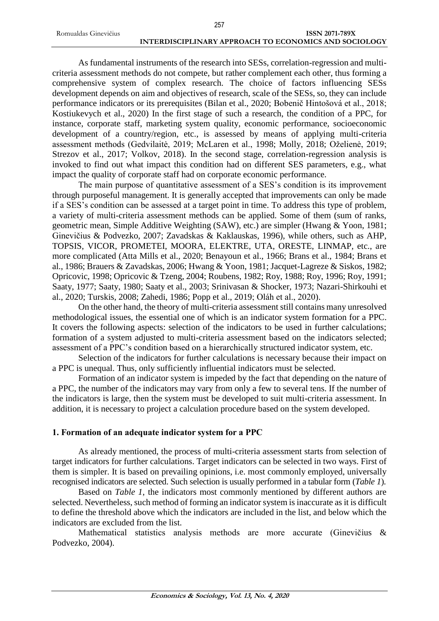|                      | 257                                                   |
|----------------------|-------------------------------------------------------|
| Romualdas Ginevičius | <b>ISSN 2071-789X</b>                                 |
|                      | INTERDISCIPLINARY APPROACH TO ECONOMICS AND SOCIOLOGY |

As fundamental instruments of the research into SESs, correlation-regression and multicriteria assessment methods do not compete, but rather complement each other, thus forming a comprehensive system of complex research. The choice of factors influencing SESs development depends on aim and objectives of research, scale of the SESs, so, they can include performance indicators or its prerequisites (Bilan et al., 2020; Bobenič Hintošová et al., 2018; Kostiukevych et al., 2020) In the first stage of such a research, the condition of a PPC, for instance, corporate staff, marketing system quality, economic performance, socioeconomic development of a country/region, etc., is assessed by means of applying multi-criteria assessment methods (Gedvilaitė, 2019; McLaren et al., 1998; Molly, 2018; Oželienė, 2019; Strezov et al., 2017; Volkov, 2018). In the second stage, correlation-regression analysis is invoked to find out what impact this condition had on different SES parameters, e.g., what impact the quality of corporate staff had on corporate economic performance.

The main purpose of quantitative assessment of a SES's condition is its improvement through purposeful management. It is generally accepted that improvements can only be made if a SES's condition can be assessed at a target point in time. To address this type of problem, a variety of multi-criteria assessment methods can be applied. Some of them (sum of ranks, geometric mean, Simple Additive Weighting (SAW), etc.) are simpler (Hwang & Yoon, 1981; Ginevičius & Podvezko, 2007; Zavadskas & Kaklauskas, 1996), while others, such as AHP, TOPSIS, VICOR, PROMETEI, MOORA, ELEKTRE, UTA, ORESTE, LINMAP, etc., are more complicated (Atta Mills et al., 2020; Benayoun et al., 1966; Brans et al., 1984; Brans et al., 1986; Brauers & Zavadskas, 2006; Hwang & Yoon, 1981; Jacquet-Lagreze & Siskos, 1982; Opricovic, 1998; Opricovic & Tzeng, 2004; Roubens, 1982; Roy, 1988; Roy, 1996; Roy, 1991; Saaty, 1977; Saaty, 1980; Saaty et al., 2003; Srinivasan & Shocker, 1973; Nazari-Shirkouhi et al., 2020; Turskis, 2008; Zahedi, 1986; Popp et al., 2019; Oláh et al., 2020).

On the other hand, the theory of multi-criteria assessment still contains many unresolved methodological issues, the essential one of which is an indicator system formation for a PPC. It covers the following aspects: selection of the indicators to be used in further calculations; formation of a system adjusted to multi-criteria assessment based on the indicators selected; assessment of a PPC's condition based on a hierarchically structured indicator system, etc.

Selection of the indicators for further calculations is necessary because their impact on a PPC is unequal. Thus, only sufficiently influential indicators must be selected.

Formation of an indicator system is impeded by the fact that depending on the nature of a PPC, the number of the indicators may vary from only a few to several tens. If the number of the indicators is large, then the system must be developed to suit multi-criteria assessment. In addition, it is necessary to project a calculation procedure based on the system developed.

# **1. Formation of an adequate indicator system for a PPC**

As already mentioned, the process of multi-criteria assessment starts from selection of target indicators for further calculations. Target indicators can be selected in two ways. First of them is simpler. It is based on prevailing opinions, i.e. most commonly employed, universally recognised indicators are selected. Such selection is usually performed in a tabular form (*Table 1*).

Based on *Table 1*, the indicators most commonly mentioned by different authors are selected. Nevertheless, such method of forming an indicator system is inaccurate as it is difficult to define the threshold above which the indicators are included in the list, and below which the indicators are excluded from the list.

Mathematical statistics analysis methods are more accurate (Ginevičius & Podvezko, 2004).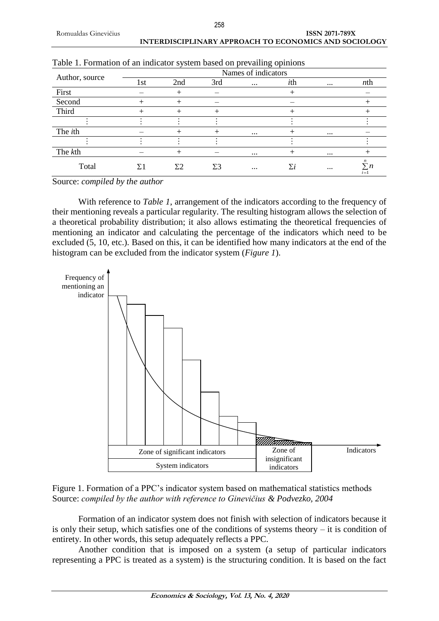|                |     |           |     | Names of indicators |            |          |            |
|----------------|-----|-----------|-----|---------------------|------------|----------|------------|
| Author, source | 1st | 2nd       | 3rd | $\cdots$            | ith        | $\cdots$ | $n$ th     |
| First          |     | $^+$      |     |                     |            |          |            |
| Second         |     | $^{+}$    |     |                     |            |          |            |
| Third          |     |           |     |                     |            |          |            |
|                |     |           |     |                     |            |          |            |
| The <i>ith</i> |     | $^+$      |     | $\cdots$            |            | $\cdots$ |            |
|                |     |           |     |                     |            |          |            |
| The kth        |     | $^{+}$    |     | $\cdots$            |            | $\cdots$ |            |
| Total          |     | $\Sigma2$ | Σ3  | $\cdots$            | $\Sigma i$ | $\cdots$ | n<br>$i=1$ |

Source: *compiled by the author*

With reference to *Table 1*, arrangement of the indicators according to the frequency of their mentioning reveals a particular regularity. The resulting histogram allows the selection of a theoretical probability distribution; it also allows estimating the theoretical frequencies of mentioning an indicator and calculating the percentage of the indicators which need to be excluded (5, 10, etc.). Based on this, it can be identified how many indicators at the end of the histogram can be excluded from the indicator system (*Figure 1*).



Figure 1. Formation of a PPC's indicator system based on mathematical statistics methods Source: *compiled by the author with reference to Ginevičius & Podvezko, 2004*

Formation of an indicator system does not finish with selection of indicators because it is only their setup, which satisfies one of the conditions of systems theory  $-$  it is condition of entirety. In other words, this setup adequately reflects a PPC.

Another condition that is imposed on a system (a setup of particular indicators representing a PPC is treated as a system) is the structuring condition. It is based on the fact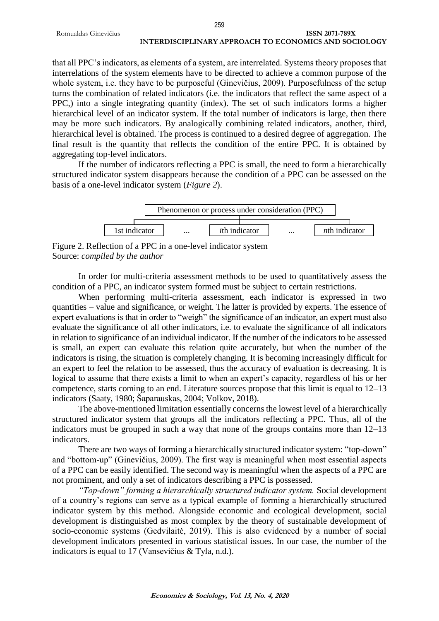|                      | 259                                                   |
|----------------------|-------------------------------------------------------|
| Romualdas Ginevičius | <b>ISSN 2071-789X</b>                                 |
|                      | INTERDISCIPLINARY APPROACH TO ECONOMICS AND SOCIOLOGY |

that all PPC's indicators, as elements of a system, are interrelated. Systems theory proposes that interrelations of the system elements have to be directed to achieve a common purpose of the whole system, i.e. they have to be purposeful (Ginevičius, 2009). Purposefulness of the setup turns the combination of related indicators (i.e. the indicators that reflect the same aspect of a PPC,) into a single integrating quantity (index). The set of such indicators forms a higher hierarchical level of an indicator system. If the total number of indicators is large, then there may be more such indicators. By analogically combining related indicators, another, third, hierarchical level is obtained. The process is continued to a desired degree of aggregation. The final result is the quantity that reflects the condition of the entire PPC. It is obtained by aggregating top-level indicators.

If the number of indicators reflecting a PPC is small, the need to form a hierarchically structured indicator system disappears because the condition of a PPC can be assessed on the basis of a one-level indicator system (*Figure 2*).



Figure 2. Reflection of a PPC in a one-level indicator system Source: *compiled by the author*

In order for multi-criteria assessment methods to be used to quantitatively assess the condition of a PPC, an indicator system formed must be subject to certain restrictions.

When performing multi-criteria assessment, each indicator is expressed in two quantities – value and significance, or weight. The latter is provided by experts. The essence of expert evaluations is that in order to "weigh" the significance of an indicator, an expert must also evaluate the significance of all other indicators, i.e. to evaluate the significance of all indicators in relation to significance of an individual indicator. If the number of the indicators to be assessed is small, an expert can evaluate this relation quite accurately, but when the number of the indicators is rising, the situation is completely changing. It is becoming increasingly difficult for an expert to feel the relation to be assessed, thus the accuracy of evaluation is decreasing. It is logical to assume that there exists a limit to when an expert's capacity, regardless of his or her competence, starts coming to an end. Literature sources propose that this limit is equal to 12–13 indicators (Saaty, 1980; Šaparauskas, 2004; Volkov, 2018).

The above-mentioned limitation essentially concerns the lowest level of a hierarchically structured indicator system that groups all the indicators reflecting a PPC. Thus, all of the indicators must be grouped in such a way that none of the groups contains more than 12–13 indicators.

There are two ways of forming a hierarchically structured indicator system: "top-down" and "bottom-up" (Ginevičius, 2009). The first way is meaningful when most essential aspects of a PPC can be easily identified. The second way is meaningful when the aspects of a PPC are not prominent, and only a set of indicators describing a PPC is possessed.

*"Top-down" forming a hierarchically structured indicator system.* Social development of a country's regions can serve as a typical example of forming a hierarchically structured indicator system by this method. Alongside economic and ecological development, social development is distinguished as most complex by the theory of sustainable development of socio-economic systems (Gedvilaitė, 2019). This is also evidenced by a number of social development indicators presented in various statistical issues. In our case, the number of the indicators is equal to 17 (Vansevičius & Tyla, n.d.).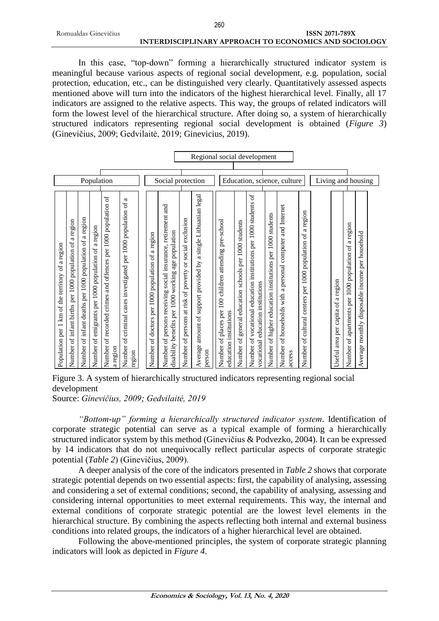In this case, "top-down" forming a hierarchically structured indicator system is meaningful because various aspects of regional social development, e.g. population, social protection, education, etc., can be distinguished very clearly. Quantitatively assessed aspects mentioned above will turn into the indicators of the highest hierarchical level. Finally, all 17 indicators are assigned to the relative aspects. This way, the groups of related indicators will form the lowest level of the hierarchical structure. After doing so, a system of hierarchically structured indicators representing regional social development is obtained (*Figure 3*) (Ginevičius, 2009; Gedvilaitė, 2019; Ginevicius, 2019).

| Population per 1 km of the territory of a region                                                                             |                             |                             |
|------------------------------------------------------------------------------------------------------------------------------|-----------------------------|-----------------------------|
| Number of infant births per 1000 population of a region                                                                      |                             |                             |
| a region<br>Number of infant deaths per 1000 population of                                                                   |                             |                             |
| a region<br>$\sigma f$<br>1000 population<br>of emigrants per<br>Number                                                      |                             |                             |
| $\omega$<br>Number of recorded crimes and offences per 1000 population<br>a region                                           | Population                  |                             |
| a<br>per 1000 population of<br>Number of criminal cases investigated<br>region                                               |                             |                             |
|                                                                                                                              |                             |                             |
| a region<br>$\rm ^6$<br>1000 population<br>Number of doctors per                                                             |                             |                             |
| social insurance, retirement and<br>population<br>age<br>disability benefits per 1000 working<br>Number of persons receiving | Social protection           |                             |
| Number of persons at risk of poverty or social exclusion                                                                     |                             |                             |
| Average amount of support provided by a single Lithuanian legal<br>person                                                    |                             | Regional social development |
| pre-school<br>per 100 children attending<br>education institutions<br>Number of places                                       |                             |                             |
| students<br>1000<br>general education schools per<br>Number of                                                               |                             |                             |
| Number of vocational education institutions per 1000 students of<br>vocational education institutions                        |                             |                             |
| Number of higher education institutions per 1000 students                                                                    |                             |                             |
| computer and Internet<br>a personal<br>Number of households with<br>access                                                   | Education, science, culture |                             |
| a region<br>population of<br>of cultural centers per 1000<br>Number                                                          |                             |                             |
|                                                                                                                              | Living and housing          |                             |
| area per capita of a region<br>Useful                                                                                        |                             |                             |
| Number of apartments per 1000 population of a region                                                                         |                             |                             |
| household<br>per<br>disposable income<br>monthly<br>Average                                                                  |                             |                             |
|                                                                                                                              |                             |                             |

Figure 3. A system of hierarchically structured indicators representing regional social development

Source: *Ginevičius, 2009; Gedvilaitė, 2019*

*"Bottom-up" forming a hierarchically structured indicator system*. Identification of corporate strategic potential can serve as a typical example of forming a hierarchically structured indicator system by this method (Ginevičius & Podvezko, 2004). It can be expressed by 14 indicators that do not unequivocally reflect particular aspects of corporate strategic potential (*Table 2*) (Ginevičius, 2009).

A deeper analysis of the core of the indicators presented in *Table 2* shows that corporate strategic potential depends on two essential aspects: first, the capability of analysing, assessing and considering a set of external conditions; second, the capability of analysing, assessing and considering internal opportunities to meet external requirements. This way, the internal and external conditions of corporate strategic potential are the lowest level elements in the hierarchical structure. By combining the aspects reflecting both internal and external business conditions into related groups, the indicators of a higher hierarchical level are obtained.

Following the above-mentioned principles, the system of corporate strategic planning indicators will look as depicted in *Figure 4*.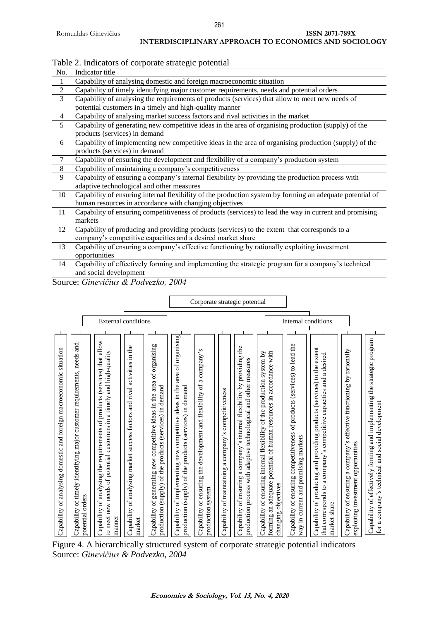### **INTERDISCIPLINARY APPROACH TO ECONOMICS AND SOCIOLOGY**

٦

# Table 2. Indicators of corporate strategic potential

| No.            | Indicator title                                                                                          |
|----------------|----------------------------------------------------------------------------------------------------------|
| $\mathbf{1}$   | Capability of analysing domestic and foreign macroeconomic situation                                     |
| $\sqrt{2}$     | Capability of timely identifying major customer requirements, needs and potential orders                 |
| 3              | Capability of analysing the requirements of products (services) that allow to meet new needs of          |
|                | potential customers in a timely and high-quality manner                                                  |
| $\overline{4}$ | Capability of analysing market success factors and rival activities in the market                        |
| 5              | Capability of generating new competitive ideas in the area of organising production (supply) of the      |
|                | products (services) in demand                                                                            |
| 6              | Capability of implementing new competitive ideas in the area of organising production (supply) of the    |
|                | products (services) in demand                                                                            |
| $\tau$         | Capability of ensuring the development and flexibility of a company's production system                  |
| 8              | Capability of maintaining a company's competitiveness                                                    |
| 9              | Capability of ensuring a company's internal flexibility by providing the production process with         |
|                | adaptive technological and other measures                                                                |
| 10             | Capability of ensuring internal flexibility of the production system by forming an adequate potential of |
|                | human resources in accordance with changing objectives                                                   |
| 11             | Capability of ensuring competitiveness of products (services) to lead the way in current and promising   |
|                | markets                                                                                                  |
| 12             | Capability of producing and providing products (services) to the extent that corresponds to a            |
|                | company's competitive capacities and a desired market share                                              |
| 13             | Capability of ensuring a company's effective functioning by rationally exploiting investment             |

opportunities 14 Capability of effectively forming and implementing the strategic program for a company's technical and social development

 $\Gamma$ 

Source: *Ginevičius & Podvezko, 2004*

| situation<br>analysing domestic and foreign macroeconomic<br>Jo<br>Capability                                                                                                           |                            |                               |
|-----------------------------------------------------------------------------------------------------------------------------------------------------------------------------------------|----------------------------|-------------------------------|
| Capability of timely identifying major customer requirements, needs and<br>potential orders                                                                                             |                            |                               |
| Capability of analysing the requirements of products (services) that allow<br>to meet new needs of potential customers in a timely and high-quality<br>manner                           |                            |                               |
| of analysing market success factors and rival activities in the<br>Capability<br>market                                                                                                 | <b>External conditions</b> |                               |
| generating new competitive ideas in the area of organising<br>production (supply) of the products (services) in demand<br>Capability of                                                 |                            |                               |
| area of organising<br>competitive ideas in the<br>production (supply) of the products (services) in demand<br>of implementing new<br>Capability                                         |                            |                               |
| a company's<br>ensuring the development and flexibility of<br>system<br>$\sigma$<br>production<br>Capability                                                                            |                            |                               |
| competitiveness<br>company's<br>2<br>of maintaining<br>Capability                                                                                                                       |                            |                               |
| $\mathbf{d}$<br>providing<br>measures<br>company's internal flexibility by<br>and other<br>adaptive technological<br>a<br>production process with<br>of ensuring<br>Capability          |                            | Corporate strategic potential |
| ensuring internal flexibility of the production system by<br>potential of human resources in accordance with<br>forming an adequate<br>objectives<br>$\sigma$<br>Capability<br>changing |                            |                               |
| of products (services) to lead the<br>of ensuring competitiveness<br>way in current and promising markets<br>Capability                                                                 |                            |                               |
| of producing and providing products (services) to the extent<br>a desired<br>competitive capacities and<br>a company's<br>corresponds to<br>share<br>Capability<br>market<br>that       | Internal conditions        |                               |
| effective functioning by rationally<br>$\pmb{\circ}$<br>investment opportunities<br>Capability of ensuring a company'<br>exploiting                                                     |                            |                               |
| Capability of effectively forming and implementing the strategic program<br>for a company's technical and social development                                                            |                            |                               |

Figure 4. A hierarchically structured system of corporate strategic potential indicators Source: *Ginevičius & Podvezko, 2004*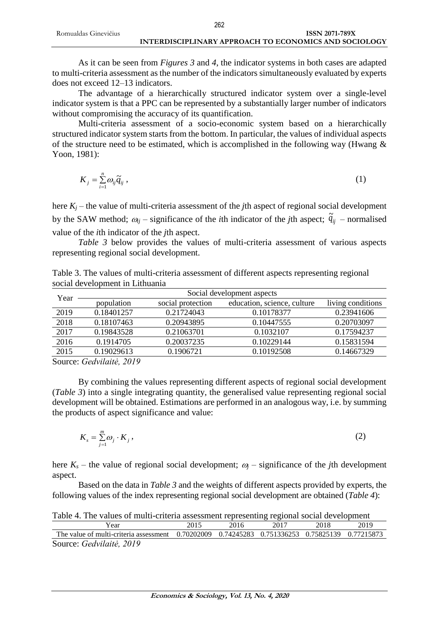|                      | 262                                                   |
|----------------------|-------------------------------------------------------|
| Romualdas Ginevičius | <b>ISSN 2071-789X</b>                                 |
|                      | INTERDISCIPLINARY APPROACH TO ECONOMICS AND SOCIOLOGY |

As it can be seen from *Figures 3* and *4*, the indicator systems in both cases are adapted to multi-criteria assessment as the number of the indicators simultaneously evaluated by experts does not exceed 12–13 indicators.

The advantage of a hierarchically structured indicator system over a single-level indicator system is that a PPC can be represented by a substantially larger number of indicators without compromising the accuracy of its quantification.

Multi-criteria assessment of a socio-economic system based on a hierarchically structured indicator system starts from the bottom. In particular, the values of individual aspects of the structure need to be estimated, which is accomplished in the following way (Hwang  $\&$ Yoon, 1981):

$$
K_j = \sum_{i=1}^n \omega_{ij} \widetilde{q}_{ij} \,, \tag{1}
$$

here  $K_i$  – the value of multi-criteria assessment of the *j*th aspect of regional social development by the SAW method;  $\omega_{ij}$  – significance of the *i*th indicator of the *j*th aspect;  $\tilde{q}_{ij}$  – normalised value of the *i*th indicator of the *j*th aspect.

*Table 3* below provides the values of multi-criteria assessment of various aspects representing regional social development.

|  | Table 3. The values of multi-criteria assessment of different aspects representing regional |  |  |  |
|--|---------------------------------------------------------------------------------------------|--|--|--|
|  | social development in Lithuania                                                             |  |  |  |

|        |                                                    | Social development aspects |                             |                   |  |  |  |  |  |
|--------|----------------------------------------------------|----------------------------|-----------------------------|-------------------|--|--|--|--|--|
| Year   | population                                         | social protection          | education, science, culture | living conditions |  |  |  |  |  |
| 2019   | 0.18401257                                         | 0.21724043                 | 0.10178377                  | 0.23941606        |  |  |  |  |  |
| 2018   | 0.18107463                                         | 0.20943895                 | 0.10447555                  | 0.20703097        |  |  |  |  |  |
| 2017   | 0.19843528                                         | 0.21063701                 | 0.1032107                   | 0.17594237        |  |  |  |  |  |
| 2016   | 0.1914705                                          | 0.20037235                 | 0.10229144                  | 0.15831594        |  |  |  |  |  |
| 2015   | 0.19029613                                         | 0.1906721                  | 0.10192508                  | 0.14667329        |  |  |  |  |  |
| $\sim$ | $\alpha$ $\alpha$ , $\alpha$ , $\alpha$ , $\alpha$ |                            |                             |                   |  |  |  |  |  |

Source: *Gedvilaitė, 2019*

By combining the values representing different aspects of regional social development (*Table 3*) into a single integrating quantity, the generalised value representing regional social development will be obtained. Estimations are performed in an analogous way, i.e. by summing the products of aspect significance and value:

$$
K_s = \sum_{j=1}^m \omega_j \cdot K_j \,,\tag{2}
$$

here  $K_s$  – the value of regional social development;  $\omega_i$  – significance of the *j*th development aspect.

Based on the data in *Table 3* and the weights of different aspects provided by experts, the following values of the index representing regional social development are obtained (*Table 4*):

|  |  |  | Table 4. The values of multi-criteria assessment representing regional social development |
|--|--|--|-------------------------------------------------------------------------------------------|
|  |  |  |                                                                                           |

| Year                                                                                           | 2015 | 2016 | 2017 | 2018 | 2019 |
|------------------------------------------------------------------------------------------------|------|------|------|------|------|
| The value of multi-criteria assessment 0.70202009 0.74245283 0.751336253 0.75825139 0.77215873 |      |      |      |      |      |
| Source: Gedvilaitė, 2019                                                                       |      |      |      |      |      |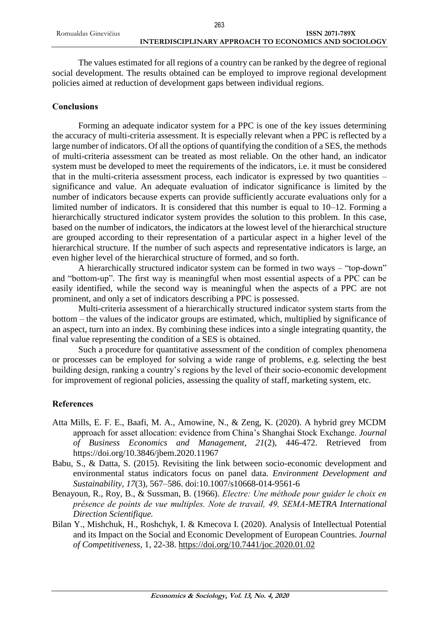The values estimated for all regions of a country can be ranked by the degree of regional social development. The results obtained can be employed to improve regional development policies aimed at reduction of development gaps between individual regions.

## **Conclusions**

Forming an adequate indicator system for a PPC is one of the key issues determining the accuracy of multi-criteria assessment. It is especially relevant when a PPC is reflected by a large number of indicators. Of all the options of quantifying the condition of a SES, the methods of multi-criteria assessment can be treated as most reliable. On the other hand, an indicator system must be developed to meet the requirements of the indicators, i.e. it must be considered that in the multi-criteria assessment process, each indicator is expressed by two quantities – significance and value. An adequate evaluation of indicator significance is limited by the number of indicators because experts can provide sufficiently accurate evaluations only for a limited number of indicators. It is considered that this number is equal to 10–12. Forming a hierarchically structured indicator system provides the solution to this problem. In this case, based on the number of indicators, the indicators at the lowest level of the hierarchical structure are grouped according to their representation of a particular aspect in a higher level of the hierarchical structure. If the number of such aspects and representative indicators is large, an even higher level of the hierarchical structure of formed, and so forth.

A hierarchically structured indicator system can be formed in two ways – "top-down" and "bottom-up". The first way is meaningful when most essential aspects of a PPC can be easily identified, while the second way is meaningful when the aspects of a PPC are not prominent, and only a set of indicators describing a PPC is possessed.

Multi-criteria assessment of a hierarchically structured indicator system starts from the bottom – the values of the indicator groups are estimated, which, multiplied by significance of an aspect, turn into an index. By combining these indices into a single integrating quantity, the final value representing the condition of a SES is obtained.

Such a procedure for quantitative assessment of the condition of complex phenomena or processes can be employed for solving a wide range of problems, e.g. selecting the best building design, ranking a country's regions by the level of their socio-economic development for improvement of regional policies, assessing the quality of staff, marketing system, etc.

# **References**

- Atta Mills, E. F. E., Baafi, M. A., Amowine, N., & Zeng, K. (2020). A hybrid grey MCDM approach for asset allocation: evidence from China's Shanghai Stock Exchange. *Journal of Business Economics and Management, 21*(2), 446-472. Retrieved from https://doi.org/10.3846/jbem.2020.11967
- Babu, S., & Datta, S. (2015). Revisiting the link between socio-economic development and environmental status indicators focus on panel data. *Environment Development and Sustainability, 17*(3), 567–586. doi:10.1007/s10668-014-9561-6
- Benayoun, R., Roy, B., & Sussman, B. (1966). *Electre: Une méthode pour guider le choix en présence de points de vue multiples. Note de travail, 49, SEMA-METRA International Direction Scientifique.*
- Bilan Y., Mishchuk, H., Roshchyk, I. & Kmecova I. (2020). Analysis of Intellectual Potential and its Impact on the Social and Economic Development of European Countries. *Journal of Competitiveness*, 1, 22-38.<https://doi.org/10.7441/joc.2020.01.02>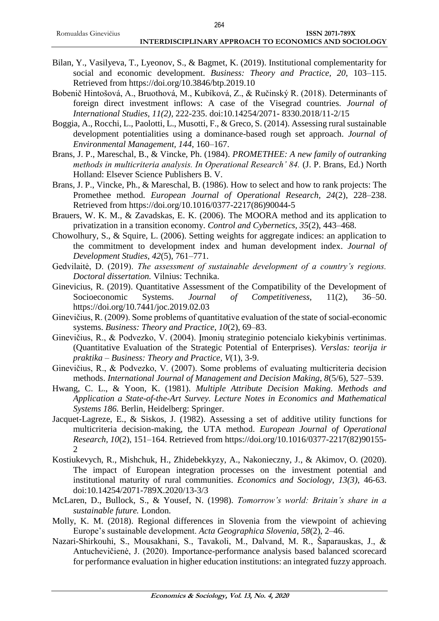- Bilan, Y., Vasilyeva, T., Lyeonov, S., & Bagmet, K. (2019). Institutional complementarity for social and economic development. *Business: Theory and Practice, 20*, 103–115. Retrieved from https://doi.org/10.3846/btp.2019.10
- Bobenič Hintošová, A., Bruothová, M., Kubíková, Z., & Ručinský R. (2018). Determinants of foreign direct investment inflows: A case of the Visegrad countries. *Journal of International Studies, 11(2),* 222-235. doi:10.14254/2071- 8330.2018/11-2/15
- Boggia, A., Rocchi, L., Paolotti, L., Musotti, F., & Greco, S. (2014). Assessing rural sustainable development potentialities using a dominance-based rough set approach. *Journal of Environmental Management, 144*, 160–167.
- Brans, J. P., Mareschal, B., & Vincke, Ph. (1984). *PROMETHEE: A new family of outranking methods in multicriteria analysis. In Operational Research' 84.* (J. P. Brans, Ed.) North Holland: Elsever Science Publishers B. V.
- Brans, J. P., Vincke, Ph., & Mareschal, B. (1986). How to select and how to rank projects: The Promethee method. *European Journal of Operational Research, 24*(2), 228–238. Retrieved from https://doi.org/10.1016/0377-2217(86)90044-5
- Brauers, W. K. M., & Zavadskas, E. K. (2006). The MOORA method and its application to privatization in a transition economy. *Control and Cybernetics, 35*(2), 443–468.
- Chowolhury, S., & Squire, L. (2006). Setting weights for aggregate indices: an application to the commitment to development index and human development index. *Journal of Development Studies, 42*(5), 761–771.
- Gedvilaitė, D. (2019). *The assessment of sustainable development of a country's regions. Doctoral dissertation.* Vilnius: Technika.
- Ginevicius, R. (2019). Quantitative Assessment of the Compatibility of the Development of Socioeconomic Systems. *Journal of Competitiveness,* 11(2), 36–50. https://doi.org/10.7441/joc.2019.02.03
- Ginevičius, R. (2009). Some problems of quantitative evaluation of the state of social-economic systems. *Business: Theory and Practice, 10*(2), 69–83.
- Ginevičius, R., & Podvezko, V. (2004). Įmonių strateginio potencialo kiekybinis vertinimas. (Quantitative Evaluation of the Strategic Potential of Enterprises). *Verslas: teorija ir praktika – Business: Theory and Practice, V*(1), 3-9.
- Ginevičius, R., & Podvezko, V. (2007). Some problems of evaluating multicriteria decision methods. *International Journal of Management and Decision Making, 8*(5/6), 527–539.
- Hwang, C. L., & Yoon, K. (1981). *Multiple Attribute Decision Making. Methods and Application a State-of-the-Art Survey. Lecture Notes in Economics and Mathematical Systems 186.* Berlin, Heidelberg: Springer.
- Jacquet-Lagreze, E., & Siskos, J. (1982). Assessing a set of additive utility functions for multicriteria decision-making, the UTA method. *European Journal of Operational Research, 10*(2), 151–164. Retrieved from https://doi.org/10.1016/0377-2217(82)90155-  $\mathcal{D}$
- Kostiukevych, R., Mishchuk, H., Zhidebekkyzy, A., Nakonieczny, J., & Akimov, O. (2020). The impact of European integration processes on the investment potential and institutional maturity of rural communities. *Economics and Sociology, 13(3),* 46-63. doi:10.14254/2071-789X.2020/13-3/3
- McLaren, D., Bullock, S., & Yousef, N. (1998). *Tomorrow's world: Britain's share in a sustainable future.* London.
- Molly, K. M. (2018). Regional differences in Slovenia from the viewpoint of achieving Europe's sustainable development. *Acta Geographica Slovenia, 58*(2), 2–46.
- Nazari-Shirkouhi, S., Mousakhani, S., Tavakoli, M., Dalvand, M. R., Šaparauskas, J., & Antuchevičienė, J. (2020). Importance-performance analysis based balanced scorecard for performance evaluation in higher education institutions: an integrated fuzzy approach.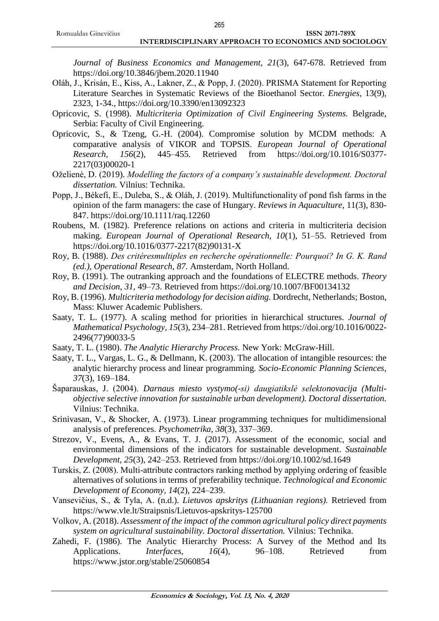*Journal of Business Economics and Management, 21*(3), 647-678. Retrieved from https://doi.org/10.3846/jbem.2020.11940

- Oláh, J., Krisán, E., Kiss, A., Lakner, Z., & Popp, J. (2020). PRISMA Statement for Reporting Literature Searches in Systematic Reviews of the Bioethanol Sector. *Energies*, 13(9), 2323, 1-34., https://doi.org/10.3390/en13092323
- Opricovic, S. (1998). *Multicriteria Optimization of Civil Engineering Systems.* Belgrade, Serbia: Faculty of Civil Engineering.
- Opricovic, S., & Tzeng, G.-H. (2004). Compromise solution by MCDM methods: A comparative analysis of VIKOR and TOPSIS. *European Journal of Operational Research, 156*(2), 445–455. Retrieved from https://doi.org/10.1016/S0377- 2217(03)00020-1
- Oželienė, D. (2019). *Modelling the factors of a company's sustainable development. Doctoral dissertation.* Vilnius: Technika.
- Popp, J., Békefi, E., Duleba, S., & Oláh, J. (2019). Multifunctionality of pond fish farms in the opinion of the farm managers: the case of Hungary. *Reviews in Aquaculture*, 11(3), 830- 847. https://doi.org/10.1111/raq.12260
- Roubens, M. (1982). Preference relations on actions and criteria in multicriteria decision making. *European Journal of Operational Research, 10*(1), 51–55. Retrieved from https://doi.org/10.1016/0377-2217(82)90131-X
- Roy, B. (1988). *Des critéresmultiples en recherche opérationnelle: Pourquoi? In G. K. Rand (ed.), Operational Research, 87.* Amsterdam, North Holland.
- Roy, B. (1991). The outranking approach and the foundations of ELECTRE methods. *Theory and Decision, 31*, 49–73. Retrieved from https://doi.org/10.1007/BF00134132
- Roy, B. (1996). *Multicriteria methodology for decision aiding.* Dordrecht, Netherlands; Boston, Mass: Kluwer Academic Publishers.
- Saaty, T. L. (1977). A scaling method for priorities in hierarchical structures. *Journal of Mathematical Psychology, 15*(3), 234–281. Retrieved from https://doi.org/10.1016/0022- 2496(77)90033-5
- Saaty, T. L. (1980). *The Analytic Hierarchy Process.* New York: McGraw-Hill.
- Saaty, T. L., Vargas, L. G., & Dellmann, K. (2003). The allocation of intangible resources: the analytic hierarchy process and linear programming. *Socio-Economic Planning Sciences, 37*(3), 169–184.
- Šaparauskas, J. (2004). *Darnaus miesto vystymo(-si) daugiatikslė selektonovacija (Multiobjective selective innovation for sustainable urban development). Doctoral dissertation.* Vilnius: Technika.
- Srinivasan, V., & Shocker, A. (1973). Linear programming techniques for multidimensional analysis of preferences. *Psychometrika, 38*(3), 337–369.
- Strezov, V., Evens, A., & Evans, T. J. (2017). Assessment of the economic, social and environmental dimensions of the indicators for sustainable development. *Sustainable Development, 25*(3), 242–253. Retrieved from https://doi.org/10.1002/sd.1649
- Turskis, Z. (2008). Multi‐attribute contractors ranking method by applying ordering of feasible alternatives of solutions in terms of preferability technique. *Technological and Economic Development of Economy, 14*(2), 224–239.
- Vansevičius, S., & Tyla, A. (n.d.). *Lietuvos apskritys (Lithuanian regions).* Retrieved from https://www.vle.lt/Straipsnis/Lietuvos-apskritys-125700
- Volkov, A. (2018). *Assessment of the impact of the common agricultural policy direct payments system on agricultural sustainability. Doctoral dissertation.* Vilnius: Technika.
- Zahedi, F. (1986). The Analytic Hierarchy Process: A Survey of the Method and Its Applications. *Interfaces*, 16(4), 96–108. Retrieved from https://www.jstor.org/stable/25060854